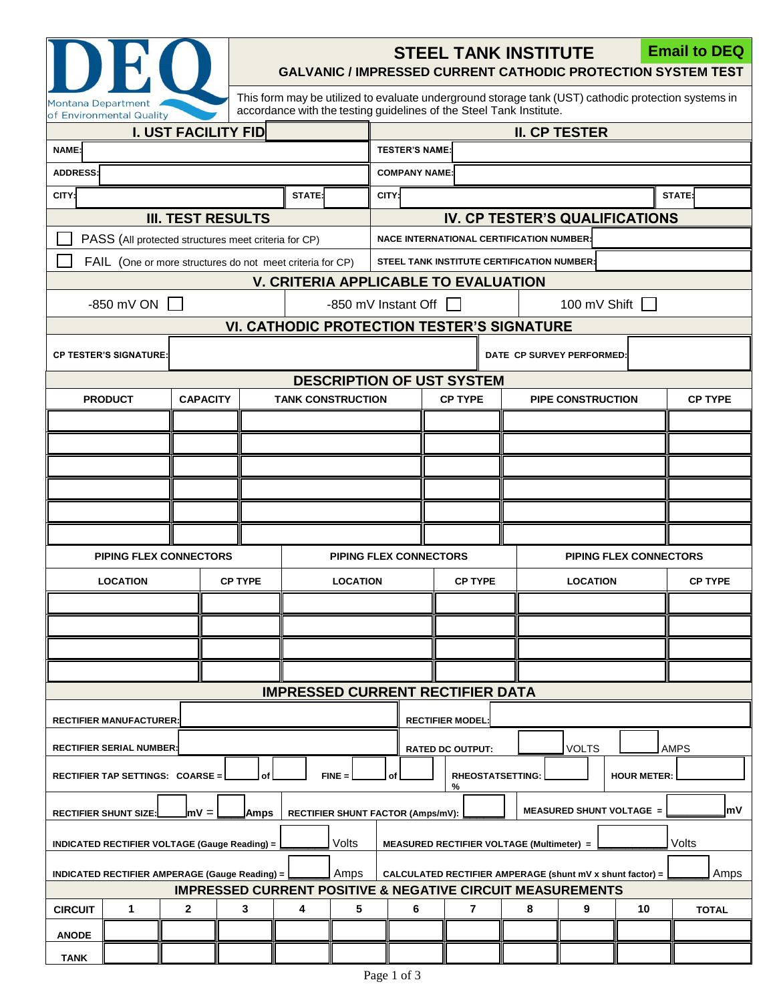

## **STEEL TANK INSTITUTE**

**Email to DEQ**

**GALVANIC / IMPRESSED CURRENT CATHODIC PROTECTION SYSTEM TEST**

This form may be utilized to evaluate underground storage tank (UST) cathodic protection systems in accordance with the testing guidelines of the Steel Tank Institute.

| <b>I. UST FACILITY FID</b>                                                                                                             |                                                          |                 |                                                           |                          |                         | <b>II. CP TESTER</b>                                      |                                                                   |    |                          |                               |                |              |  |  |
|----------------------------------------------------------------------------------------------------------------------------------------|----------------------------------------------------------|-----------------|-----------------------------------------------------------|--------------------------|-------------------------|-----------------------------------------------------------|-------------------------------------------------------------------|----|--------------------------|-------------------------------|----------------|--------------|--|--|
| NAME:                                                                                                                                  |                                                          |                 |                                                           |                          |                         | <b>TESTER'S NAME</b>                                      |                                                                   |    |                          |                               |                |              |  |  |
| <b>ADDRESS:</b>                                                                                                                        |                                                          |                 |                                                           |                          |                         | <b>COMPANY NAME:</b>                                      |                                                                   |    |                          |                               |                |              |  |  |
| CITY:                                                                                                                                  | STATE:                                                   |                 |                                                           |                          |                         | CITY:                                                     | STATE:                                                            |    |                          |                               |                |              |  |  |
| <b>III. TEST RESULTS</b>                                                                                                               |                                                          |                 |                                                           |                          |                         | IV. CP TESTER'S QUALIFICATIONS                            |                                                                   |    |                          |                               |                |              |  |  |
|                                                                                                                                        |                                                          |                 | PASS (All protected structures meet criteria for CP)      |                          |                         | <b>NACE INTERNATIONAL CERTIFICATION NUMBER:</b>           |                                                                   |    |                          |                               |                |              |  |  |
|                                                                                                                                        |                                                          |                 | FAIL (One or more structures do not meet criteria for CP) |                          |                         | STEEL TANK INSTITUTE CERTIFICATION NUMBER:                |                                                                   |    |                          |                               |                |              |  |  |
|                                                                                                                                        |                                                          |                 |                                                           |                          |                         |                                                           | V. CRITERIA APPLICABLE TO EVALUATION                              |    |                          |                               |                |              |  |  |
|                                                                                                                                        | $-850$ mV ON $\Box$                                      |                 |                                                           |                          |                         | -850 mV Instant Off $\Box$<br>100 mV Shift $\Box$         |                                                                   |    |                          |                               |                |              |  |  |
| <b>VI. CATHODIC PROTECTION TESTER'S SIGNATURE</b>                                                                                      |                                                          |                 |                                                           |                          |                         |                                                           |                                                                   |    |                          |                               |                |              |  |  |
| <b>CP TESTER'S SIGNATURE:</b>                                                                                                          |                                                          |                 |                                                           |                          |                         | DATE CP SURVEY PERFORMED:                                 |                                                                   |    |                          |                               |                |              |  |  |
|                                                                                                                                        |                                                          |                 |                                                           |                          |                         | <b>DESCRIPTION OF UST SYSTEM</b>                          |                                                                   |    |                          |                               |                |              |  |  |
|                                                                                                                                        | <b>PRODUCT</b>                                           | <b>CAPACITY</b> |                                                           | <b>TANK CONSTRUCTION</b> |                         | <b>CP TYPE</b>                                            |                                                                   |    | <b>PIPE CONSTRUCTION</b> |                               | <b>CP TYPE</b> |              |  |  |
|                                                                                                                                        |                                                          |                 |                                                           |                          |                         |                                                           |                                                                   |    |                          |                               |                |              |  |  |
|                                                                                                                                        |                                                          |                 |                                                           |                          |                         |                                                           |                                                                   |    |                          |                               |                |              |  |  |
|                                                                                                                                        |                                                          |                 |                                                           |                          |                         |                                                           |                                                                   |    |                          |                               |                |              |  |  |
|                                                                                                                                        |                                                          |                 |                                                           |                          |                         |                                                           |                                                                   |    |                          |                               |                |              |  |  |
|                                                                                                                                        |                                                          |                 |                                                           |                          |                         |                                                           |                                                                   |    |                          |                               |                |              |  |  |
|                                                                                                                                        |                                                          |                 |                                                           |                          |                         |                                                           |                                                                   |    |                          |                               |                |              |  |  |
|                                                                                                                                        | <b>PIPING FLEX CONNECTORS</b>                            |                 |                                                           |                          |                         | <b>PIPING FLEX CONNECTORS</b>                             |                                                                   |    |                          | <b>PIPING FLEX CONNECTORS</b> |                |              |  |  |
| <b>LOCATION</b>                                                                                                                        |                                                          |                 | <b>CP TYPE</b>                                            |                          | <b>LOCATION</b>         | <b>CP TYPE</b>                                            |                                                                   |    |                          | <b>LOCATION</b>               |                |              |  |  |
|                                                                                                                                        |                                                          |                 |                                                           |                          |                         |                                                           |                                                                   |    |                          |                               |                |              |  |  |
|                                                                                                                                        |                                                          |                 |                                                           |                          |                         |                                                           |                                                                   |    |                          |                               |                |              |  |  |
|                                                                                                                                        |                                                          |                 |                                                           |                          |                         |                                                           |                                                                   |    |                          |                               |                |              |  |  |
|                                                                                                                                        |                                                          |                 |                                                           |                          |                         |                                                           |                                                                   |    |                          |                               |                |              |  |  |
| <b>IMPRESSED CURRENT RECTIFIER DATA</b>                                                                                                |                                                          |                 |                                                           |                          |                         |                                                           |                                                                   |    |                          |                               |                |              |  |  |
|                                                                                                                                        | <b>RECTIFIER MODEL</b><br><b>RECTIFIER MANUFACTURER:</b> |                 |                                                           |                          |                         |                                                           |                                                                   |    |                          |                               |                |              |  |  |
| <b>RECTIFIER SERIAL NUMBER:</b>                                                                                                        |                                                          |                 |                                                           |                          | <b>RATED DC OUTPUT:</b> |                                                           |                                                                   |    | <b>VOLTS</b><br>AMPS     |                               |                |              |  |  |
| $FINE =$<br><b>RHEOSTATSETTING:</b><br>RECTIFIER TAP SETTINGS: COARSE =<br><b>HOUR METER:</b><br>οf<br>%                               |                                                          |                 |                                                           |                          |                         |                                                           |                                                                   |    |                          |                               |                |              |  |  |
| <b>MEASURED SHUNT VOLTAGE =</b><br>lmV =<br><b>RECTIFIER SHUNT SIZE:</b><br>Amps<br>RECTIFIER SHUNT FACTOR (Amps/mV):                  |                                                          |                 |                                                           |                          |                         |                                                           |                                                                   | m۷ |                          |                               |                |              |  |  |
| Volts<br><b>INDICATED RECTIFIER VOLTAGE (Gauge Reading) =</b>                                                                          |                                                          |                 |                                                           |                          |                         | Volts<br><b>MEASURED RECTIFIER VOLTAGE (Multimeter) =</b> |                                                                   |    |                          |                               |                |              |  |  |
| Amps<br><b>INDICATED RECTIFIER AMPERAGE (Gauge Reading) =</b><br><b>IMPRESSED CURRENT POSITIVE &amp; NEGATIVE CIRCUIT MEASUREMENTS</b> |                                                          |                 |                                                           |                          |                         |                                                           | Amps<br>CALCULATED RECTIFIER AMPERAGE (shunt mV x shunt factor) = |    |                          |                               |                |              |  |  |
| <b>CIRCUIT</b>                                                                                                                         | 1                                                        | $\mathbf{2}$    | 3                                                         | 4                        | 5                       | 6                                                         | $\overline{7}$                                                    |    | 8                        | 9                             | 10             | <b>TOTAL</b> |  |  |
|                                                                                                                                        |                                                          |                 |                                                           |                          |                         |                                                           |                                                                   |    |                          |                               |                |              |  |  |
| <b>ANODE</b>                                                                                                                           |                                                          |                 |                                                           |                          |                         |                                                           |                                                                   |    |                          |                               |                |              |  |  |
| <b>TANK</b>                                                                                                                            |                                                          |                 |                                                           |                          |                         |                                                           |                                                                   |    |                          |                               |                |              |  |  |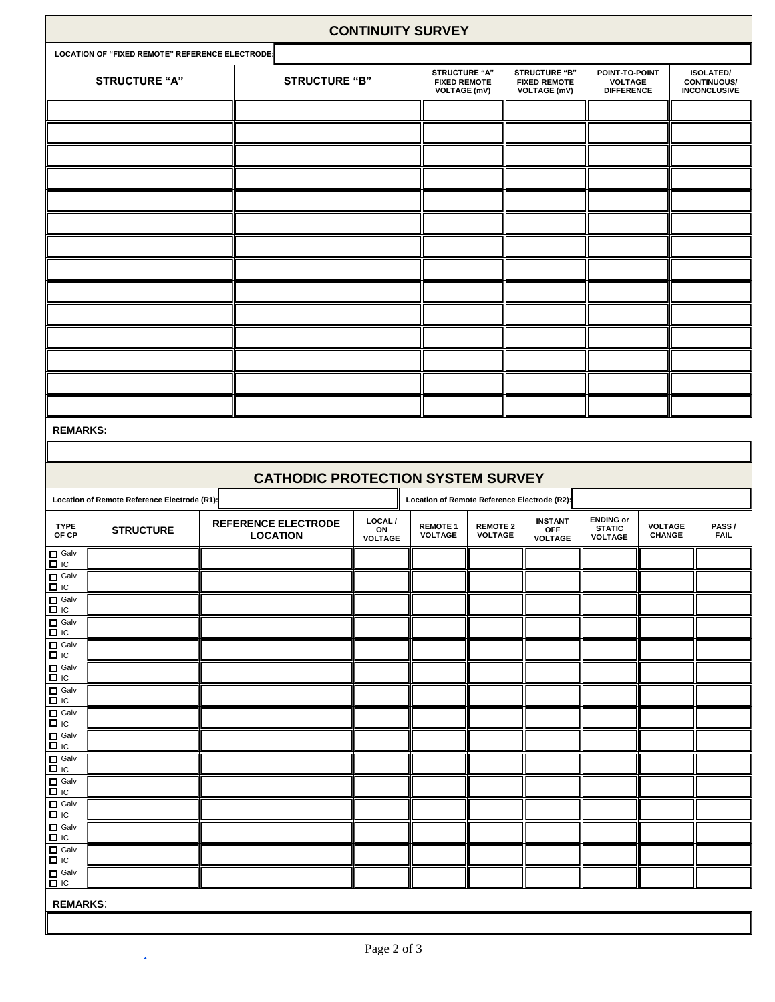| <b>CONTINUITY SURVEY</b>                                                                            |                                                 |                                               |                          |                                   |                                                                              |                                                                    |                                                       |                          |                                                               |  |  |  |
|-----------------------------------------------------------------------------------------------------|-------------------------------------------------|-----------------------------------------------|--------------------------|-----------------------------------|------------------------------------------------------------------------------|--------------------------------------------------------------------|-------------------------------------------------------|--------------------------|---------------------------------------------------------------|--|--|--|
|                                                                                                     | LOCATION OF "FIXED REMOTE" REFERENCE ELECTRODE: |                                               |                          |                                   |                                                                              |                                                                    |                                                       |                          |                                                               |  |  |  |
|                                                                                                     | <b>STRUCTURE "A"</b>                            |                                               | <b>STRUCTURE "B"</b>     |                                   |                                                                              | <b>STRUCTURE "B"</b><br><b>FIXED REMOTE</b><br><b>VOLTAGE (mV)</b> | POINT-TO-POINT<br><b>VOLTAGE</b><br><b>DIFFERENCE</b> |                          | <b>ISOLATED/</b><br><b>CONTINUOUS/</b><br><b>INCONCLUSIVE</b> |  |  |  |
|                                                                                                     |                                                 |                                               |                          |                                   |                                                                              |                                                                    |                                                       |                          |                                                               |  |  |  |
|                                                                                                     |                                                 |                                               |                          |                                   |                                                                              |                                                                    |                                                       |                          |                                                               |  |  |  |
|                                                                                                     |                                                 |                                               |                          |                                   |                                                                              |                                                                    |                                                       |                          |                                                               |  |  |  |
|                                                                                                     |                                                 |                                               |                          |                                   |                                                                              |                                                                    |                                                       |                          |                                                               |  |  |  |
|                                                                                                     |                                                 |                                               |                          |                                   |                                                                              |                                                                    |                                                       |                          |                                                               |  |  |  |
|                                                                                                     |                                                 |                                               |                          |                                   |                                                                              |                                                                    |                                                       |                          |                                                               |  |  |  |
|                                                                                                     |                                                 |                                               |                          |                                   |                                                                              |                                                                    |                                                       |                          |                                                               |  |  |  |
|                                                                                                     |                                                 |                                               |                          |                                   |                                                                              |                                                                    |                                                       |                          |                                                               |  |  |  |
|                                                                                                     |                                                 |                                               |                          |                                   |                                                                              |                                                                    |                                                       |                          |                                                               |  |  |  |
|                                                                                                     |                                                 |                                               |                          |                                   |                                                                              |                                                                    |                                                       |                          |                                                               |  |  |  |
|                                                                                                     |                                                 |                                               |                          |                                   |                                                                              |                                                                    |                                                       |                          |                                                               |  |  |  |
|                                                                                                     |                                                 |                                               |                          |                                   |                                                                              |                                                                    |                                                       |                          |                                                               |  |  |  |
|                                                                                                     |                                                 |                                               |                          |                                   |                                                                              |                                                                    |                                                       |                          |                                                               |  |  |  |
|                                                                                                     |                                                 |                                               |                          |                                   |                                                                              |                                                                    |                                                       |                          |                                                               |  |  |  |
| <b>REMARKS:</b>                                                                                     |                                                 |                                               |                          |                                   |                                                                              |                                                                    |                                                       |                          |                                                               |  |  |  |
|                                                                                                     |                                                 |                                               |                          |                                   |                                                                              |                                                                    |                                                       |                          |                                                               |  |  |  |
|                                                                                                     |                                                 | <b>CATHODIC PROTECTION SYSTEM SURVEY</b>      |                          |                                   |                                                                              |                                                                    |                                                       |                          |                                                               |  |  |  |
| Location of Remote Reference Electrode (R1):<br>Location of Remote Reference Electrode (R2):        |                                                 |                                               |                          |                                   |                                                                              |                                                                    |                                                       |                          |                                                               |  |  |  |
| <b>TYPE</b><br>OF CP                                                                                | <b>STRUCTURE</b>                                | <b>REFERENCE ELECTRODE</b><br><b>LOCATION</b> | LOCAL /<br>ON<br>VOLTAGE | <b>REMOTE 1</b><br><b>VOLTAGE</b> | <b>INSTANT</b><br><b>REMOTE 2</b><br>OFF<br><b>VOLTAGE</b><br><b>VOLTAGE</b> |                                                                    | <b>ENDING or</b><br><b>STATIC</b><br><b>VOLTAGE</b>   | <b>VOLTAGE</b><br>CHANGE | PASS/<br><b>FAIL</b>                                          |  |  |  |
| $\begin{array}{ c c }\n\hline\n\text{I} & \text{Galv} \\ \hline\n\text{I} & \text{IC}\n\end{array}$ |                                                 |                                               |                          |                                   |                                                                              |                                                                    |                                                       |                          |                                                               |  |  |  |
|                                                                                                     |                                                 |                                               |                          |                                   |                                                                              |                                                                    |                                                       |                          |                                                               |  |  |  |
|                                                                                                     |                                                 |                                               |                          |                                   |                                                                              |                                                                    |                                                       |                          |                                                               |  |  |  |
|                                                                                                     |                                                 |                                               |                          |                                   |                                                                              |                                                                    |                                                       |                          |                                                               |  |  |  |
|                                                                                                     |                                                 |                                               |                          |                                   |                                                                              |                                                                    |                                                       |                          |                                                               |  |  |  |
|                                                                                                     |                                                 |                                               |                          |                                   |                                                                              |                                                                    |                                                       |                          |                                                               |  |  |  |
|                                                                                                     |                                                 |                                               |                          |                                   |                                                                              |                                                                    |                                                       |                          |                                                               |  |  |  |
|                                                                                                     |                                                 |                                               |                          |                                   |                                                                              |                                                                    |                                                       |                          |                                                               |  |  |  |
|                                                                                                     |                                                 |                                               |                          |                                   |                                                                              |                                                                    |                                                       |                          |                                                               |  |  |  |
|                                                                                                     |                                                 |                                               |                          |                                   |                                                                              |                                                                    |                                                       |                          |                                                               |  |  |  |
|                                                                                                     |                                                 |                                               |                          |                                   |                                                                              |                                                                    |                                                       |                          |                                                               |  |  |  |
|                                                                                                     |                                                 |                                               |                          |                                   |                                                                              |                                                                    |                                                       |                          |                                                               |  |  |  |
|                                                                                                     |                                                 |                                               |                          |                                   |                                                                              |                                                                    |                                                       |                          |                                                               |  |  |  |
|                                                                                                     |                                                 |                                               |                          |                                   |                                                                              |                                                                    |                                                       |                          |                                                               |  |  |  |
|                                                                                                     |                                                 |                                               |                          |                                   |                                                                              |                                                                    |                                                       |                          |                                                               |  |  |  |
| <b>REMARKS:</b>                                                                                     |                                                 |                                               |                          |                                   |                                                                              |                                                                    |                                                       |                          |                                                               |  |  |  |
|                                                                                                     |                                                 |                                               |                          |                                   |                                                                              |                                                                    |                                                       |                          |                                                               |  |  |  |